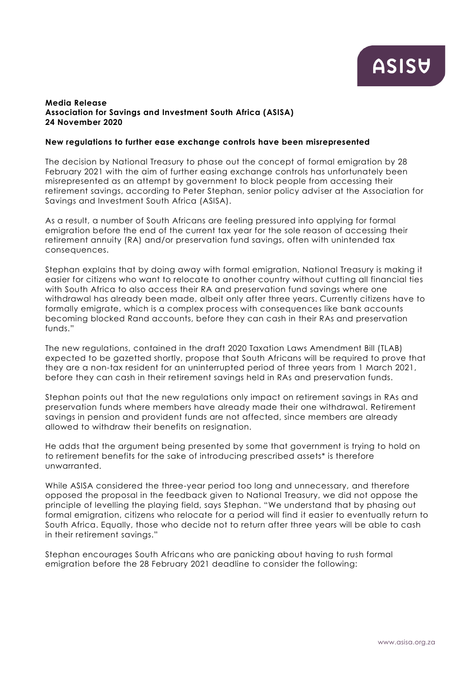#### **Media Release Association for Savings and Investment South Africa (ASISA) 24 November 2020**

#### **New regulations to further ease exchange controls have been misrepresented**

The decision by National Treasury to phase out the concept of formal emigration by 28 February 2021 with the aim of further easing exchange controls has unfortunately been misrepresented as an attempt by government to block people from accessing their retirement savings, according to Peter Stephan, senior policy adviser at the Association for Savings and Investment South Africa (ASISA).

As a result, a number of South Africans are feeling pressured into applying for formal emigration before the end of the current tax year for the sole reason of accessing their retirement annuity (RA) and/or preservation fund savings, often with unintended tax consequences.

Stephan explains that by doing away with formal emigration, National Treasury is making it easier for citizens who want to relocate to another country without cutting all financial ties with South Africa to also access their RA and preservation fund savings where one withdrawal has already been made, albeit only after three years. Currently citizens have to formally emigrate, which is a complex process with consequences like bank accounts becoming blocked Rand accounts, before they can cash in their RAs and preservation funds."

The new regulations, contained in the draft 2020 Taxation Laws Amendment Bill (TLAB) expected to be gazetted shortly, propose that South Africans will be required to prove that they are a non-tax resident for an uninterrupted period of three years from 1 March 2021, before they can cash in their retirement savings held in RAs and preservation funds.

Stephan points out that the new regulations only impact on retirement savings in RAs and preservation funds where members have already made their one withdrawal. Retirement savings in pension and provident funds are not affected, since members are already allowed to withdraw their benefits on resignation.

He adds that the argument being presented by some that government is trying to hold on to retirement benefits for the sake of introducing prescribed assets\* is therefore unwarranted.

While ASISA considered the three-year period too long and unnecessary, and therefore opposed the proposal in the feedback given to National Treasury, we did not oppose the principle of levelling the playing field, says Stephan. "We understand that by phasing out formal emigration, citizens who relocate for a period will find it easier to eventually return to South Africa. Equally, those who decide not to return after three years will be able to cash in their retirement savings."

Stephan encourages South Africans who are panicking about having to rush formal emigration before the 28 February 2021 deadline to consider the following: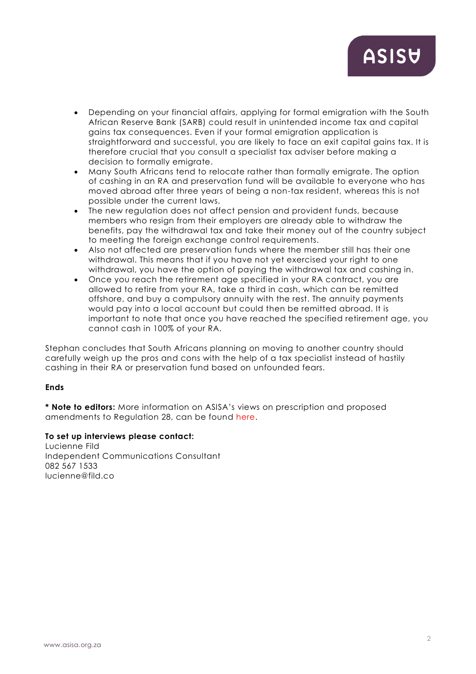# **ASISU**

- Depending on your financial affairs, applying for formal emigration with the South African Reserve Bank (SARB) could result in unintended income tax and capital gains tax consequences. Even if your formal emigration application is straightforward and successful, you are likely to face an exit capital gains tax. It is therefore crucial that you consult a specialist tax adviser before making a decision to formally emigrate.
- Many South Africans tend to relocate rather than formally emigrate. The option of cashing in an RA and preservation fund will be available to everyone who has moved abroad after three years of being a non-tax resident, whereas this is not possible under the current laws.
- The new regulation does not affect pension and provident funds, because members who resign from their employers are already able to withdraw the benefits, pay the withdrawal tax and take their money out of the country subject to meeting the foreign exchange control requirements.
- Also not affected are preservation funds where the member still has their one withdrawal. This means that if you have not yet exercised your right to one withdrawal, you have the option of paying the withdrawal tax and cashing in.
- Once you reach the retirement age specified in your RA contract, you are allowed to retire from your RA, take a third in cash, which can be remitted offshore, and buy a compulsory annuity with the rest. The annuity payments would pay into a local account but could then be remitted abroad. It is important to note that once you have reached the specified retirement age, you cannot cash in 100% of your RA.

Stephan concludes that South Africans planning on moving to another country should carefully weigh up the pros and cons with the help of a tax specialist instead of hastily cashing in their RA or preservation fund based on unfounded fears.

## **Ends**

**\* Note to editors:** More information on ASISA's views on prescription and proposed amendments to Regulation 28, can be found [here.](https://www.asisa.org.za/media-releases/asisa-threat-of-prescription-is-overstated/)

## **To set up interviews please contact:**

Lucienne Fild Independent Communications Consultant 082 567 1533 lucienne@fild.co